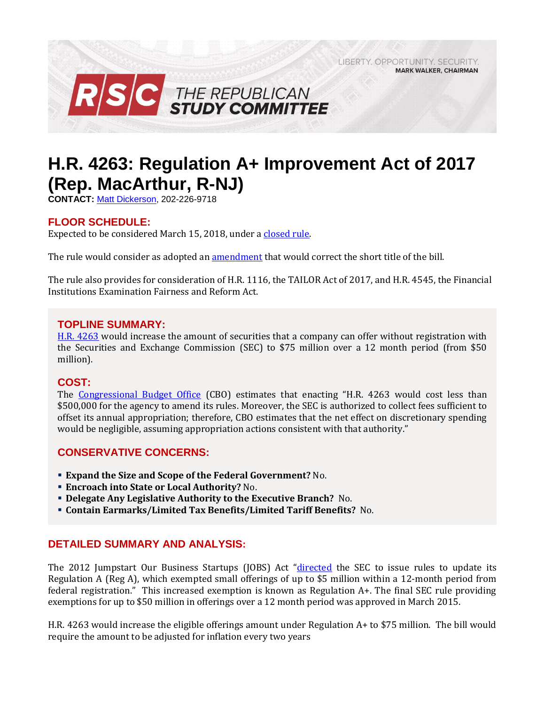LIBERTY, OPPORTUNITY, SECURITY, **MARK WALKER, CHAIRMAN** 



# **H.R. 4263: Regulation A+ Improvement Act of 2017 (Rep. MacArthur, R-NJ)**

**CONTACT:** [Matt Dickerson,](mailto:Matthew.Dickerson@mail.house.gov) 202-226-9718

# **FLOOR SCHEDULE:**

Expected to be considered March 15, 2018, under [a closed rule.](https://rules.house.gov/bill/115/hr-4263)

The rule would consider as adopted an [amendment](https://amendments-rules.house.gov/amendments/MACANJ_038_xml3818150950950.pdf) that would correct the short title of the bill.

The rule also provides for consideration of H.R. 1116, the TAILOR Act of 2017, and H.R. 4545, the Financial Institutions Examination Fairness and Reform Act.

## **TOPLINE SUMMARY:**

[H.R. 4263](https://www.gpo.gov/fdsys/pkg/BILLS-115hr4263rh/pdf/BILLS-115hr4263rh.pdf) would increase the amount of securities that a company can offer without registration with the Securities and Exchange Commission (SEC) to \$75 million over a 12 month period (from \$50 million).

#### **COST:**

The [Congressional Budget Office](https://www.cbo.gov/system/files/115th-congress-2017-2018/costestimate/hr4263.pdf) (CBO) estimates that enacting "H.R. 4263 would cost less than \$500,000 for the agency to amend its rules. Moreover, the SEC is authorized to collect fees sufficient to offset its annual appropriation; therefore, CBO estimates that the net effect on discretionary spending would be negligible, assuming appropriation actions consistent with that authority."

## **CONSERVATIVE CONCERNS:**

- **Expand the Size and Scope of the Federal Government?** No.
- **Encroach into State or Local Authority?** No.
- **Delegate Any Legislative Authority to the Executive Branch?** No.
- **Contain Earmarks/Limited Tax Benefits/Limited Tariff Benefits?** No.

## **DETAILED SUMMARY AND ANALYSIS:**

The 2012 Jumpstart Our Business Startups (JOBS) Act "[directed](https://www.congress.gov/115/crpt/hrpt544/CRPT-115hrpt544.pdf) the SEC to issue rules to update its Regulation A (Reg A), which exempted small offerings of up to \$5 million within a 12-month period from federal registration." This increased exemption is known as Regulation A+. The final SEC rule providing exemptions for up to \$50 million in offerings over a 12 month period was approved in March 2015.

H.R. 4263 would increase the eligible offerings amount under Regulation A+ to \$75 million. The bill would require the amount to be adjusted for inflation every two years